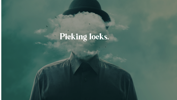## Picking locks.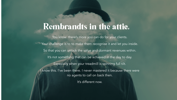### Rembrandts in the attic.

You know there's more you can do for your clients. Your challenge is to to make them recognise it and let you inside. So that you can unlock the value and dormant revenues within. It's not something that can be achieved in the day to day. Especially when your treadmill is spinning full tilt. know this. I've been there. I never mastered it because there were no agents to call on back then.

It's different now.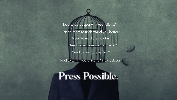Need them to understand you better? Need to read their code? Need to go deeper with your clients? Need to be more on their radar? Need to be more valued?

Need to turn "would like to" into fuck yes?

### **Press Possible.**